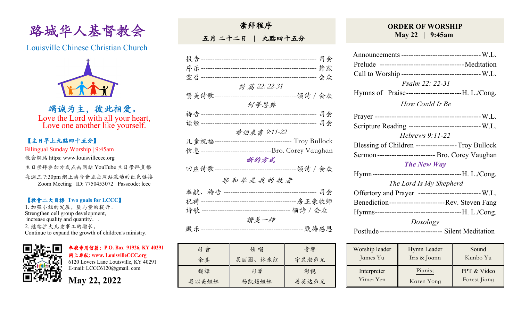

Louisville Chinese Christian Church



竭诚为主,彼此相爱。 Love the Lord with all your heart, Love one another like yourself.

## 【主日早上九點四⼗五分】

Bilingual Sunday Worship | 9:45am

教会網站 https: www.louisvilleccc.org

主日崇拜參加方式点击网站 YouTube 主日崇拜直播

每週三 7:30pm 網上禱告會点击网站滚动的红色链接 Zoom Meeting ID: 7750453072 Passcode: lccc

## 【教會⼆⼤目標 **Two goals for LCCC**】

1. 加强小组的发展, 质与量的提升。 Strengthen cell group development, increase quality and quantity。. 2. 继续扩⼤⼉童事⼯的增长。 Continue to expand the growth of children's ministry.



奉献专用信箱:**P.O. Box 91926, KY 40291**  ⽹上奉献**: www. LouisvilleCCC.org**

6120 Lovers Lane Louisville, KY 40291 E-mail: LCCC6120@gmail. com

**May 22, 2022**

| <b>示 アキーアエ、/ド</b>  |          |              |                                                         |  |
|--------------------|----------|--------------|---------------------------------------------------------|--|
|                    | 五月 二十二日  | 九點四十五分       |                                                         |  |
|                    |          |              |                                                         |  |
|                    |          |              |                                                         |  |
|                    |          |              |                                                         |  |
|                    |          |              |                                                         |  |
|                    |          | 詩篇 22:22-31  |                                                         |  |
|                    |          |              |                                                         |  |
|                    |          | 何等恩典         |                                                         |  |
|                    |          |              |                                                         |  |
| 读经--------------   |          |              |                                                         |  |
|                    |          | 希伯來書 9:11-22 |                                                         |  |
|                    |          |              | 儿童祝福---------------------------------- Troy Bullock     |  |
|                    |          |              | 信息-----------------------------------Bro. Corey Vaughan |  |
|                    |          | 新的方式         |                                                         |  |
| 回应诗歌-------------- |          |              | ---------领诗 / 会众                                        |  |
|                    | 耶和华是我的牧者 |              |                                                         |  |
|                    |          |              |                                                         |  |
|                    |          |              |                                                         |  |
|                    |          |              |                                                         |  |
|                    |          | 讚美一神         |                                                         |  |
|                    |          |              |                                                         |  |
|                    |          |              |                                                         |  |
|                    |          |              |                                                         |  |

崇拜程序

| 司會    | 領 唱     | 音響    |
|-------|---------|-------|
| 余真    | 吴丽圆、林永红 | 宇昆渤弟兄 |
| 翻譯    | 司琴      | 影視    |
| 晏以美姐妹 | 杨凯媛姐妹   | 姜英达弟兄 |

## **ORDER OF WORSHIP May 22 | 9:45am**

| Announcements --------------------------------- W.L.    |  |  |  |  |
|---------------------------------------------------------|--|--|--|--|
|                                                         |  |  |  |  |
| Call to Worship ---------------------------------- W.L. |  |  |  |  |
| Psalm 22: 22-31                                         |  |  |  |  |
| Hymns of Praise----------------------------H. L./Cong.  |  |  |  |  |
| <i>How Could It Be</i>                                  |  |  |  |  |
|                                                         |  |  |  |  |
| Scripture Reading ------------------------------- W.L.  |  |  |  |  |
| Hebrews $9:11-22$                                       |  |  |  |  |
| Blessing of Children ----------------- Troy Bullock     |  |  |  |  |
| Sermon------------------------ Bro. Corey Vaughan       |  |  |  |  |
| <b>The New Way</b>                                      |  |  |  |  |
|                                                         |  |  |  |  |
| The Lord Is My Shepherd                                 |  |  |  |  |
| Offertory and Prayer --------------------------- W.L.   |  |  |  |  |
| Benediction-------------------------Rev. Steven Fang    |  |  |  |  |
|                                                         |  |  |  |  |
| Doxology                                                |  |  |  |  |
| Postlude -------------------------- Silent Meditation   |  |  |  |  |

| Worship leader     | <b>Hymn</b> Leader | Sound        |
|--------------------|--------------------|--------------|
| James Yu           | Iris & Joann       | Kunbo Yu     |
| <u>Interpreter</u> | Pianist            | PPT & Video  |
| Yimei Yen          | Karen Yong         | Forest Jiang |